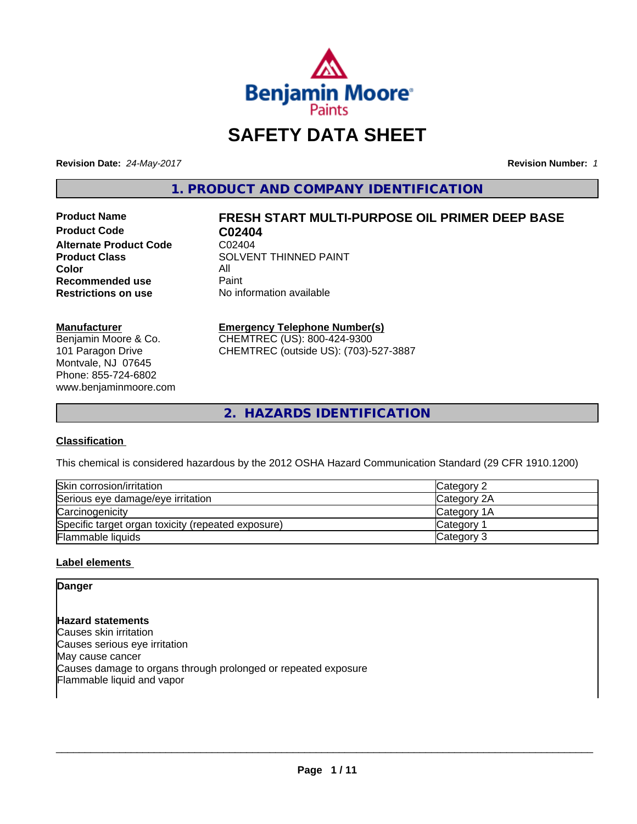

# **SAFETY DATA SHEET**

**Revision Date:** *24-May-2017* **Revision Number:** *1*

**1. PRODUCT AND COMPANY IDENTIFICATION**

**Product Code C02404**<br>Alternate Product Code C02404 **Alternate Product Code**<br>Product Class **Color** All All<br>**Recommended use** Paint **Recommended use**<br>Restrictions on use

# **Product Name FRESH START MULTI-PURPOSE OIL PRIMER DEEP BASE**

**SOLVENT THINNED PAINT No information available** 

### **Manufacturer**

Benjamin Moore & Co. 101 Paragon Drive Montvale, NJ 07645 Phone: 855-724-6802 www.benjaminmoore.com

### **Emergency Telephone Number(s)**

CHEMTREC (US): 800-424-9300 CHEMTREC (outside US): (703)-527-3887

**2. HAZARDS IDENTIFICATION**

### **Classification**

This chemical is considered hazardous by the 2012 OSHA Hazard Communication Standard (29 CFR 1910.1200)

| Skin corrosion/irritation                          | Category 2         |
|----------------------------------------------------|--------------------|
| Serious eye damage/eye irritation                  | Category 2A        |
| Carcinogenicity                                    | <b>Category 1A</b> |
| Specific target organ toxicity (repeated exposure) | <b>Category</b>    |
| <b>Flammable liquids</b>                           | Category 3         |

### **Label elements**

### **Danger**

**Hazard statements** Causes skin irritation Causes serious eye irritation May cause cancer Causes damage to organs through prolonged or repeated exposure Flammable liquid and vapor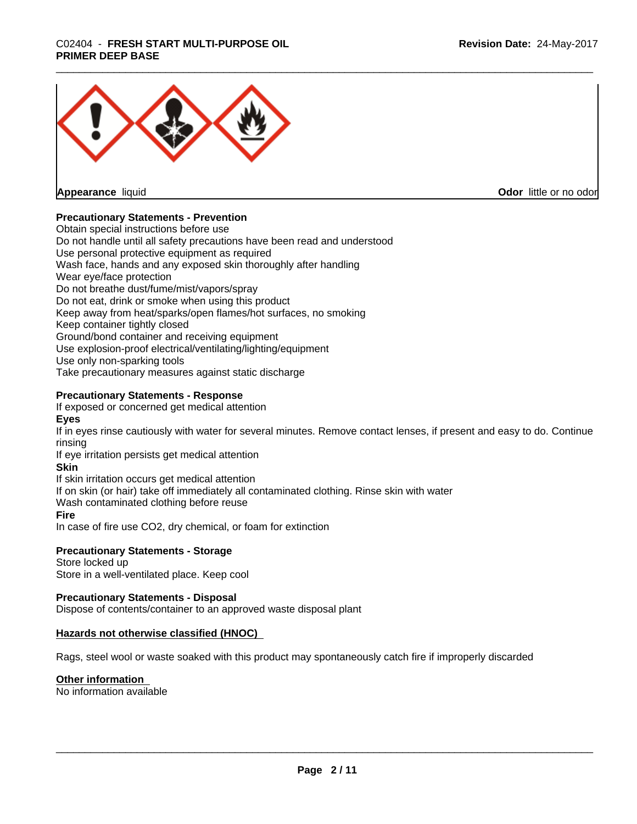## \_\_\_\_\_\_\_\_\_\_\_\_\_\_\_\_\_\_\_\_\_\_\_\_\_\_\_\_\_\_\_\_\_\_\_\_\_\_\_\_\_\_\_\_\_\_\_\_\_\_\_\_\_\_\_\_\_\_\_\_\_\_\_\_\_\_\_\_\_\_\_\_\_\_\_\_\_\_\_\_\_\_\_\_\_\_\_\_\_\_\_\_\_ C02404 - **FRESH START MULTI-PURPOSE OIL PRIMER DEEP BASE**



**Appearance** liquid

**Odor** little or no odor

### **Precautionary Statements - Prevention**

Obtain special instructions before use Do not handle until all safety precautions have been read and understood Use personal protective equipment as required Wash face, hands and any exposed skin thoroughly after handling Wear eye/face protection Do not breathe dust/fume/mist/vapors/spray Do not eat, drink or smoke when using this product Keep away from heat/sparks/open flames/hot surfaces, no smoking Keep container tightly closed Ground/bond container and receiving equipment Use explosion-proof electrical/ventilating/lighting/equipment Use only non-sparking tools Take precautionary measures against static discharge

### **Precautionary Statements - Response**

If exposed or concerned get medical attention

**Eyes**

If in eyes rinse cautiously with water for several minutes. Remove contact lenses, if present and easy to do. Continue rinsing

If eye irritation persists get medical attention

### **Skin**

If skin irritation occurs get medical attention

If on skin (or hair) take off immediately all contaminated clothing. Rinse skin with water

Wash contaminated clothing before reuse

### **Fire**

In case of fire use CO2, dry chemical, or foam for extinction

### **Precautionary Statements - Storage**

Store locked up Store in a well-ventilated place. Keep cool

### **Precautionary Statements - Disposal**

Dispose of contents/container to an approved waste disposal plant

### **Hazards not otherwise classified (HNOC)**

Rags, steel wool or waste soaked with this product may spontaneously catch fire if improperly discarded

### **Other information**

No information available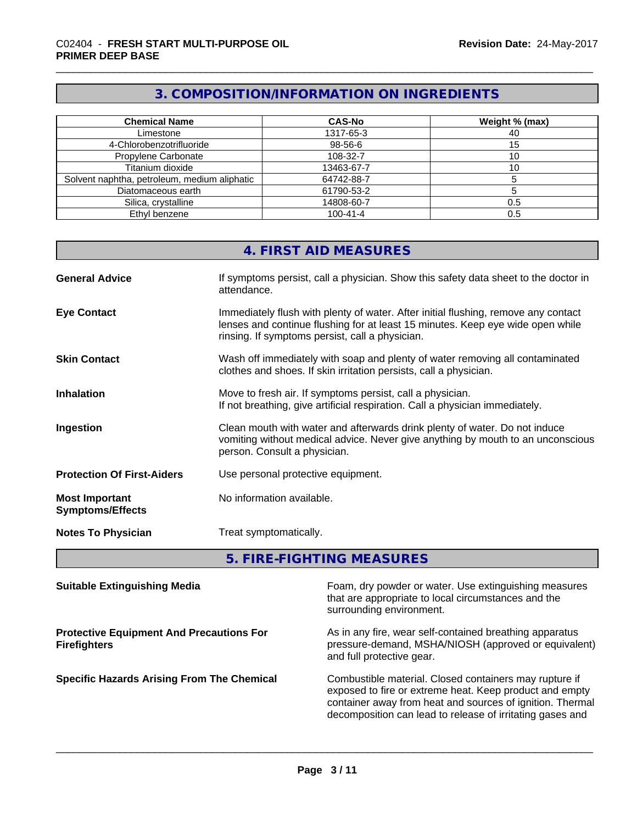### **3. COMPOSITION/INFORMATION ON INGREDIENTS**

| <b>Chemical Name</b>                         | <b>CAS-No</b>  | Weight % (max) |
|----------------------------------------------|----------------|----------------|
| Limestone                                    | 1317-65-3      | 40             |
| 4-Chlorobenzotrifluoride                     | 98-56-6        |                |
| Propylene Carbonate                          | 108-32-7       |                |
| Titanium dioxide                             | 13463-67-7     |                |
| Solvent naphtha, petroleum, medium aliphatic | 64742-88-7     |                |
| Diatomaceous earth                           | 61790-53-2     |                |
| Silica, crystalline                          | 14808-60-7     | 0.5            |
| Ethyl benzene                                | $100 - 41 - 4$ |                |

### **4. FIRST AID MEASURES**

| <b>General Advice</b>                            | If symptoms persist, call a physician. Show this safety data sheet to the doctor in<br>attendance.                                                                                                                      |
|--------------------------------------------------|-------------------------------------------------------------------------------------------------------------------------------------------------------------------------------------------------------------------------|
| <b>Eye Contact</b>                               | Immediately flush with plenty of water. After initial flushing, remove any contact<br>lenses and continue flushing for at least 15 minutes. Keep eye wide open while<br>rinsing. If symptoms persist, call a physician. |
| <b>Skin Contact</b>                              | Wash off immediately with soap and plenty of water removing all contaminated<br>clothes and shoes. If skin irritation persists, call a physician.                                                                       |
| <b>Inhalation</b>                                | Move to fresh air. If symptoms persist, call a physician.<br>If not breathing, give artificial respiration. Call a physician immediately.                                                                               |
| Ingestion                                        | Clean mouth with water and afterwards drink plenty of water. Do not induce<br>vomiting without medical advice. Never give anything by mouth to an unconscious<br>person. Consult a physician.                           |
| <b>Protection Of First-Aiders</b>                | Use personal protective equipment.                                                                                                                                                                                      |
| <b>Most Important</b><br><b>Symptoms/Effects</b> | No information available.                                                                                                                                                                                               |
| <b>Notes To Physician</b>                        | Treat symptomatically.                                                                                                                                                                                                  |

**5. FIRE-FIGHTING MEASURES**

| <b>Suitable Extinguishing Media</b>                                    | Foam, dry powder or water. Use extinguishing measures<br>that are appropriate to local circumstances and the<br>surrounding environment.                                                                                                    |
|------------------------------------------------------------------------|---------------------------------------------------------------------------------------------------------------------------------------------------------------------------------------------------------------------------------------------|
| <b>Protective Equipment And Precautions For</b><br><b>Firefighters</b> | As in any fire, wear self-contained breathing apparatus<br>pressure-demand, MSHA/NIOSH (approved or equivalent)<br>and full protective gear.                                                                                                |
| <b>Specific Hazards Arising From The Chemical</b>                      | Combustible material. Closed containers may rupture if<br>exposed to fire or extreme heat. Keep product and empty<br>container away from heat and sources of ignition. Thermal<br>decomposition can lead to release of irritating gases and |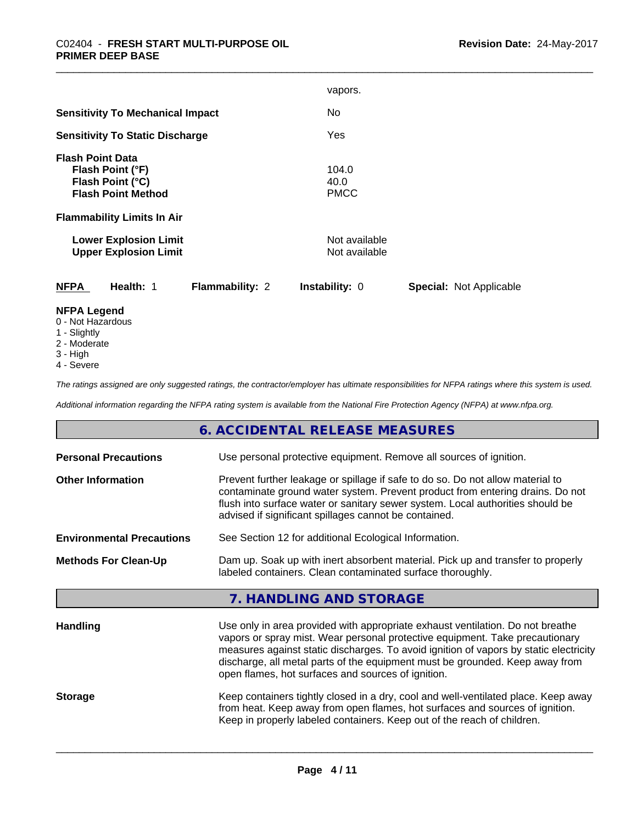|                                                                                                                                   | vapors.                                                 |
|-----------------------------------------------------------------------------------------------------------------------------------|---------------------------------------------------------|
| <b>Sensitivity To Mechanical Impact</b>                                                                                           | No.                                                     |
| <b>Sensitivity To Static Discharge</b>                                                                                            | Yes                                                     |
| <b>Flash Point Data</b><br>Flash Point (°F)<br>Flash Point (°C)<br><b>Flash Point Method</b><br><b>Flammability Limits In Air</b> | 104.0<br>40.0<br><b>PMCC</b>                            |
| <b>Lower Explosion Limit</b><br><b>Upper Explosion Limit</b>                                                                      | Not available<br>Not available                          |
| Health: 1<br><b>NFPA</b><br><b>Flammability: 2</b>                                                                                | <b>Instability: 0</b><br><b>Special: Not Applicable</b> |
| <b>NFPA Legend</b>                                                                                                                |                                                         |

- 0 Not Hazardous
- 1 Slightly
- 2 Moderate
- 3 High
- 4 Severe

*The ratings assigned are only suggested ratings, the contractor/employer has ultimate responsibilities for NFPA ratings where this system is used.*

*Additional information regarding the NFPA rating system is available from the National Fire Protection Agency (NFPA) at www.nfpa.org.*

### **6. ACCIDENTAL RELEASE MEASURES**

| <b>Personal Precautions</b><br>Use personal protective equipment. Remove all sources of ignition.                                                                                                                                                                                                                                      |                                                                                                                                                                                                                                                                                                                                                                                               |  |
|----------------------------------------------------------------------------------------------------------------------------------------------------------------------------------------------------------------------------------------------------------------------------------------------------------------------------------------|-----------------------------------------------------------------------------------------------------------------------------------------------------------------------------------------------------------------------------------------------------------------------------------------------------------------------------------------------------------------------------------------------|--|
| Prevent further leakage or spillage if safe to do so. Do not allow material to<br><b>Other Information</b><br>contaminate ground water system. Prevent product from entering drains. Do not<br>flush into surface water or sanitary sewer system. Local authorities should be<br>advised if significant spillages cannot be contained. |                                                                                                                                                                                                                                                                                                                                                                                               |  |
| <b>Environmental Precautions</b>                                                                                                                                                                                                                                                                                                       | See Section 12 for additional Ecological Information.                                                                                                                                                                                                                                                                                                                                         |  |
| Dam up. Soak up with inert absorbent material. Pick up and transfer to properly<br><b>Methods For Clean-Up</b><br>labeled containers. Clean contaminated surface thoroughly.                                                                                                                                                           |                                                                                                                                                                                                                                                                                                                                                                                               |  |
|                                                                                                                                                                                                                                                                                                                                        | 7. HANDLING AND STORAGE                                                                                                                                                                                                                                                                                                                                                                       |  |
| <b>Handling</b>                                                                                                                                                                                                                                                                                                                        | Use only in area provided with appropriate exhaust ventilation. Do not breathe<br>vapors or spray mist. Wear personal protective equipment. Take precautionary<br>measures against static discharges. To avoid ignition of vapors by static electricity<br>discharge, all metal parts of the equipment must be grounded. Keep away from<br>open flames, hot surfaces and sources of ignition. |  |
| <b>Storage</b>                                                                                                                                                                                                                                                                                                                         | Keep containers tightly closed in a dry, cool and well-ventilated place. Keep away<br>from heat. Keep away from open flames, hot surfaces and sources of ignition.<br>Keep in properly labeled containers. Keep out of the reach of children.                                                                                                                                                 |  |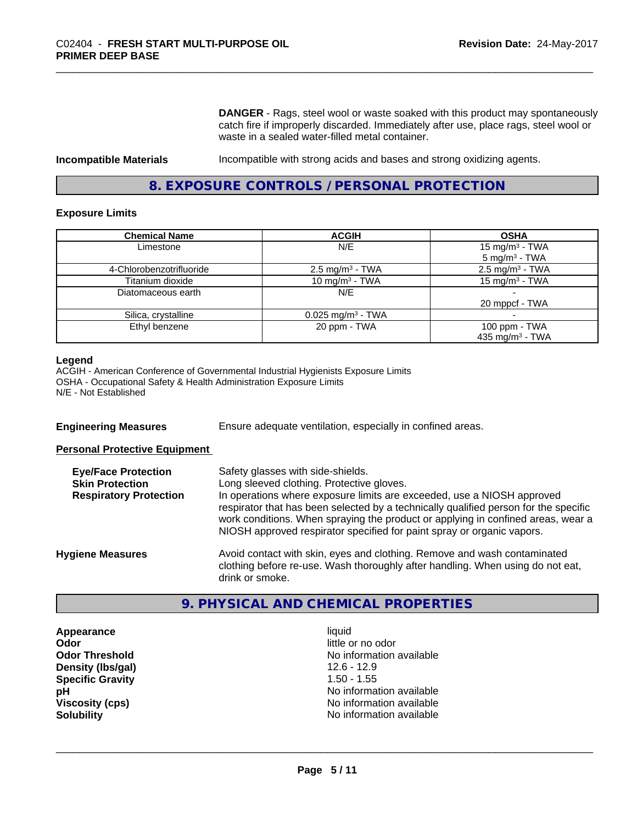**DANGER** - Rags, steel wool or waste soaked with this product may spontaneously catch fire if improperly discarded. Immediately after use, place rags, steel wool or waste in a sealed water-filled metal container.

**Incompatible Materials Incompatible with strong acids and bases and strong oxidizing agents.** 

### **8. EXPOSURE CONTROLS / PERSONAL PROTECTION**

### **Exposure Limits**

| <b>Chemical Name</b>     | <b>ACGIH</b>                    | <b>OSHA</b>                                            |
|--------------------------|---------------------------------|--------------------------------------------------------|
| Limestone                | N/E                             | 15 mg/m <sup>3</sup> - TWA<br>$5 \text{ mg/m}^3$ - TWA |
| 4-Chlorobenzotrifluoride | $2.5 \text{ mg/m}^3$ - TWA      | $2.5 \text{ mg/m}^3$ - TWA                             |
| Titanium dioxide         | 10 mg/m <sup>3</sup> - TWA      | 15 mg/m <sup>3</sup> - TWA                             |
| Diatomaceous earth       | N/E                             |                                                        |
|                          |                                 | 20 mppcf - TWA                                         |
| Silica, crystalline      | $0.025$ mg/m <sup>3</sup> - TWA |                                                        |
| Ethyl benzene            | 20 ppm - TWA                    | 100 ppm - TWA                                          |
|                          |                                 | 435 mg/m <sup>3</sup> - TWA                            |

### **Legend**

ACGIH - American Conference of Governmental Industrial Hygienists Exposure Limits OSHA - Occupational Safety & Health Administration Exposure Limits N/E - Not Established

**Engineering Measures** Ensure adequate ventilation, especially in confined areas.

**Personal Protective Equipment**

| <b>Eye/Face Protection</b><br><b>Skin Protection</b><br><b>Respiratory Protection</b> | Safety glasses with side-shields.<br>Long sleeved clothing. Protective gloves.<br>In operations where exposure limits are exceeded, use a NIOSH approved<br>respirator that has been selected by a technically qualified person for the specific<br>work conditions. When spraying the product or applying in confined areas, wear a<br>NIOSH approved respirator specified for paint spray or organic vapors. |
|---------------------------------------------------------------------------------------|----------------------------------------------------------------------------------------------------------------------------------------------------------------------------------------------------------------------------------------------------------------------------------------------------------------------------------------------------------------------------------------------------------------|
| <b>Hygiene Measures</b>                                                               | Avoid contact with skin, eyes and clothing. Remove and wash contaminated<br>clothing before re-use. Wash thoroughly after handling. When using do not eat,<br>drink or smoke.                                                                                                                                                                                                                                  |

### **9. PHYSICAL AND CHEMICAL PROPERTIES**

**Appearance** liquid **Odor** little or no odor **Density (Ibs/gal)** 12.6 - 12.9 **Specific Gravity** 1.50 - 1.55

**Odor Threshold No information available No information available pH** No information available **Viscosity (cps)** No information available<br> **Solubility** No information available<br>
No information available **No information available**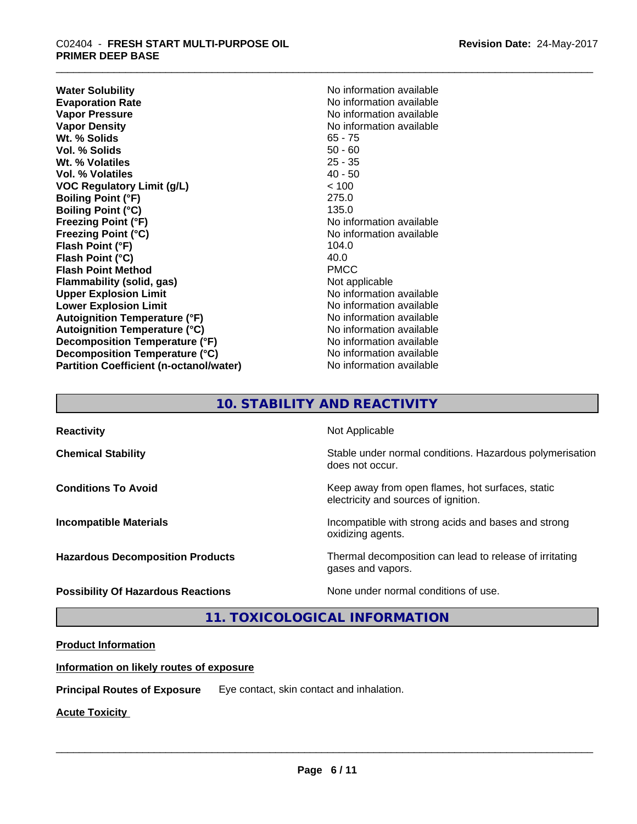## \_\_\_\_\_\_\_\_\_\_\_\_\_\_\_\_\_\_\_\_\_\_\_\_\_\_\_\_\_\_\_\_\_\_\_\_\_\_\_\_\_\_\_\_\_\_\_\_\_\_\_\_\_\_\_\_\_\_\_\_\_\_\_\_\_\_\_\_\_\_\_\_\_\_\_\_\_\_\_\_\_\_\_\_\_\_\_\_\_\_\_\_\_ C02404 - **FRESH START MULTI-PURPOSE OIL PRIMER DEEP BASE**

**Water Solubility**<br> **Evaporation Rate**<br> **Evaporation Rate**<br> **Evaporation Rate Evaporation Rate No information available**<br> **Vapor Pressure No information available**<br>
No information available **Vapor Density**<br> **We Solids**<br>
We Solid Wit, % Solids
and Minimized Contracts Contract Contracts Contract Contracts Contracts Contracts Contracts Contracts Contracts Contracts Contracts Contracts Contracts Contracts Contrac Wt. % Solids **Vol. % Solids** 50 - 60 **Wt. % Volatiles** 25 - 35 **Vol. % Volatiles** 40 - 50 **VOC Regulatory Limit (g/L)** < 100 **Boiling Point (°F)** 275.0 **Boiling Point (°C)** 135.0 **Freezing Point (°F)** No information available **Freezing Point (°C)**<br> **Flash Point (°F)**<br> **Flash Point (°F)**<br> **Point (°F)**<br> **Point (°F)**<br> **Point (°F)**<br> **Point (°F) Flash Point (°F) Flash Point (°C)** 40.0 **Flash Point Method** PMCC **Flammability (solid, gas)** Not applicable **Upper Explosion Limit No information available** No information available **Lower Explosion Limit Contract Contract Contract Contract Contract Contract Contract Contract Contract Contract Contract Contract Contract Contract Contract Contract Contract Contract Contract Contract Contract Contract Autoignition Temperature (°F)** No information available **Autoignition Temperature (°C)** No information available **Decomposition Temperature (°F)** No information available **Decomposition Temperature (°C)** No information available **Partition Coefficient (n-octanol/water)** No information available

**No information available** 

### **10. STABILITY AND REACTIVITY**

| <b>Reactivity</b>                         | Not Applicable                                                                           |
|-------------------------------------------|------------------------------------------------------------------------------------------|
| <b>Chemical Stability</b>                 | Stable under normal conditions. Hazardous polymerisation<br>does not occur.              |
| <b>Conditions To Avoid</b>                | Keep away from open flames, hot surfaces, static<br>electricity and sources of ignition. |
| <b>Incompatible Materials</b>             | Incompatible with strong acids and bases and strong<br>oxidizing agents.                 |
| <b>Hazardous Decomposition Products</b>   | Thermal decomposition can lead to release of irritating<br>gases and vapors.             |
| <b>Possibility Of Hazardous Reactions</b> | None under normal conditions of use.                                                     |

**11. TOXICOLOGICAL INFORMATION**

### **Product Information**

### **Information on likely routes of exposure**

**Principal Routes of Exposure** Eye contact, skin contact and inhalation.

**Acute Toxicity**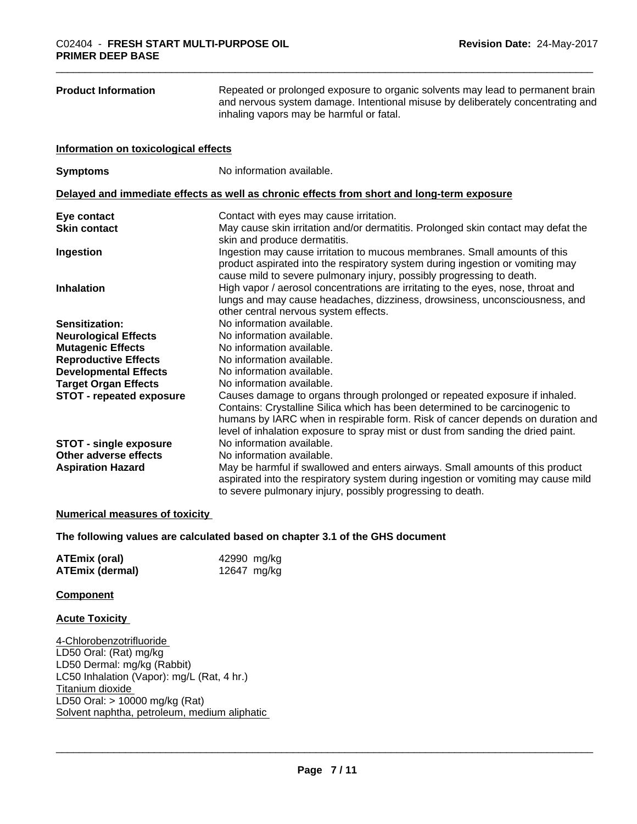| <b>Product Information</b>           | Repeated or prolonged exposure to organic solvents may lead to permanent brain<br>and nervous system damage. Intentional misuse by deliberately concentrating and<br>inhaling vapors may be harmful or fatal.                                                                                                                    |
|--------------------------------------|----------------------------------------------------------------------------------------------------------------------------------------------------------------------------------------------------------------------------------------------------------------------------------------------------------------------------------|
| Information on toxicological effects |                                                                                                                                                                                                                                                                                                                                  |
| <b>Symptoms</b>                      | No information available.                                                                                                                                                                                                                                                                                                        |
|                                      | Delayed and immediate effects as well as chronic effects from short and long-term exposure                                                                                                                                                                                                                                       |
| Eye contact                          | Contact with eyes may cause irritation.                                                                                                                                                                                                                                                                                          |
| <b>Skin contact</b>                  | May cause skin irritation and/or dermatitis. Prolonged skin contact may defat the<br>skin and produce dermatitis.                                                                                                                                                                                                                |
| Ingestion                            | Ingestion may cause irritation to mucous membranes. Small amounts of this<br>product aspirated into the respiratory system during ingestion or vomiting may<br>cause mild to severe pulmonary injury, possibly progressing to death.                                                                                             |
| <b>Inhalation</b>                    | High vapor / aerosol concentrations are irritating to the eyes, nose, throat and<br>lungs and may cause headaches, dizziness, drowsiness, unconsciousness, and<br>other central nervous system effects.                                                                                                                          |
| Sensitization:                       | No information available.                                                                                                                                                                                                                                                                                                        |
| <b>Neurological Effects</b>          | No information available.                                                                                                                                                                                                                                                                                                        |
| <b>Mutagenic Effects</b>             | No information available.                                                                                                                                                                                                                                                                                                        |
| <b>Reproductive Effects</b>          | No information available.                                                                                                                                                                                                                                                                                                        |
| <b>Developmental Effects</b>         | No information available.                                                                                                                                                                                                                                                                                                        |
| <b>Target Organ Effects</b>          | No information available.                                                                                                                                                                                                                                                                                                        |
| <b>STOT - repeated exposure</b>      | Causes damage to organs through prolonged or repeated exposure if inhaled.<br>Contains: Crystalline Silica which has been determined to be carcinogenic to<br>humans by IARC when in respirable form. Risk of cancer depends on duration and<br>level of inhalation exposure to spray mist or dust from sanding the dried paint. |
| <b>STOT - single exposure</b>        | No information available.                                                                                                                                                                                                                                                                                                        |
| Other adverse effects                | No information available.                                                                                                                                                                                                                                                                                                        |
| <b>Aspiration Hazard</b>             | May be harmful if swallowed and enters airways. Small amounts of this product<br>aspirated into the respiratory system during ingestion or vomiting may cause mild<br>to severe pulmonary injury, possibly progressing to death.                                                                                                 |

### **Numerical measures of toxicity**

**The following values are calculated based on chapter 3.1 of the GHS document**

| <b>ATEmix (oral)</b>   | 42990 mg/kg |
|------------------------|-------------|
| <b>ATEmix (dermal)</b> | 12647 mg/kg |

### **Component**

### **Acute Toxicity**

4-Chlorobenzotrifluoride LD50 Oral: (Rat) mg/kg LD50 Dermal: mg/kg (Rabbit) LC50 Inhalation (Vapor): mg/L (Rat, 4 hr.) Titanium dioxide LD50 Oral: > 10000 mg/kg (Rat) Solvent naphtha, petroleum, medium aliphatic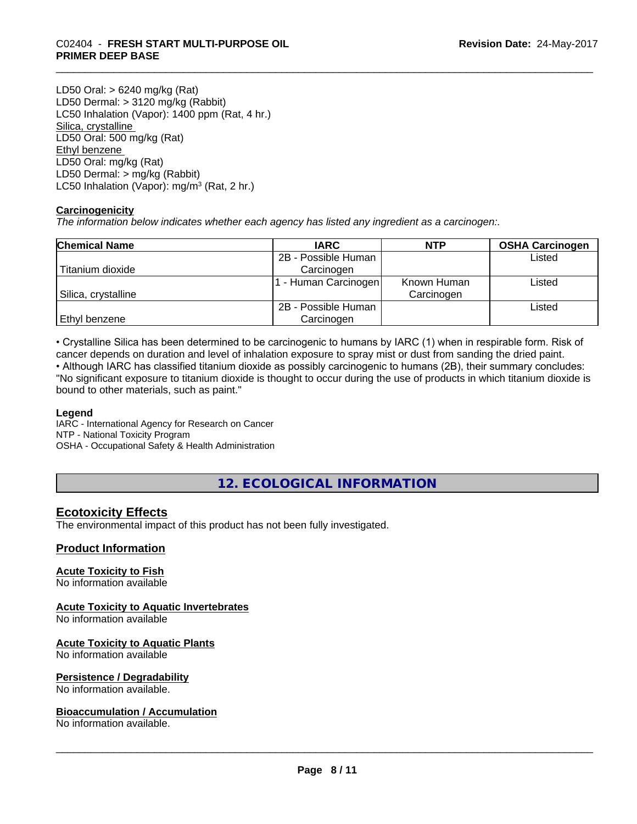## \_\_\_\_\_\_\_\_\_\_\_\_\_\_\_\_\_\_\_\_\_\_\_\_\_\_\_\_\_\_\_\_\_\_\_\_\_\_\_\_\_\_\_\_\_\_\_\_\_\_\_\_\_\_\_\_\_\_\_\_\_\_\_\_\_\_\_\_\_\_\_\_\_\_\_\_\_\_\_\_\_\_\_\_\_\_\_\_\_\_\_\_\_ C02404 - **FRESH START MULTI-PURPOSE OIL PRIMER DEEP BASE**

LD50 Oral: > 6240 mg/kg (Rat) LD50 Dermal: > 3120 mg/kg (Rabbit) LC50 Inhalation (Vapor): 1400 ppm (Rat, 4 hr.) Silica, crystalline LD50 Oral: 500 mg/kg (Rat) Ethyl benzene LD50 Oral: mg/kg (Rat) LD50 Dermal: > mg/kg (Rabbit) LC50 Inhalation (Vapor): mg/m<sup>3</sup> (Rat, 2 hr.)

### **Carcinogenicity**

*The information below indicateswhether each agency has listed any ingredient as a carcinogen:.*

| <b>Chemical Name</b> | <b>IARC</b>          | <b>NTP</b>  | <b>OSHA Carcinogen</b> |
|----------------------|----------------------|-------------|------------------------|
|                      | 2B - Possible Human  |             | Listed                 |
| Titanium dioxide     | Carcinogen           |             |                        |
|                      | 1 - Human Carcinogen | Known Human | ∟isted                 |
| Silica, crystalline  |                      | Carcinogen  |                        |
|                      | 2B - Possible Human  |             | Listed                 |
| Ethyl benzene        | Carcinogen           |             |                        |

• Crystalline Silica has been determined to be carcinogenic to humans by IARC (1) when in respirable form. Risk of cancer depends on duration and level of inhalation exposure to spray mist or dust from sanding the dried paint.

• Although IARC has classified titanium dioxide as possibly carcinogenic to humans (2B), their summary concludes: "No significant exposure to titanium dioxide is thought to occur during the use of products in which titanium dioxide is bound to other materials, such as paint."

### **Legend**

IARC - International Agency for Research on Cancer NTP - National Toxicity Program OSHA - Occupational Safety & Health Administration

**12. ECOLOGICAL INFORMATION**

### **Ecotoxicity Effects**

The environmental impact of this product has not been fully investigated.

### **Product Information**

### **Acute Toxicity to Fish**

No information available

### **Acute Toxicity to Aquatic Invertebrates**

No information available

### **Acute Toxicity to Aquatic Plants**

No information available

### **Persistence / Degradability**

No information available.

### **Bioaccumulation / Accumulation**

No information available.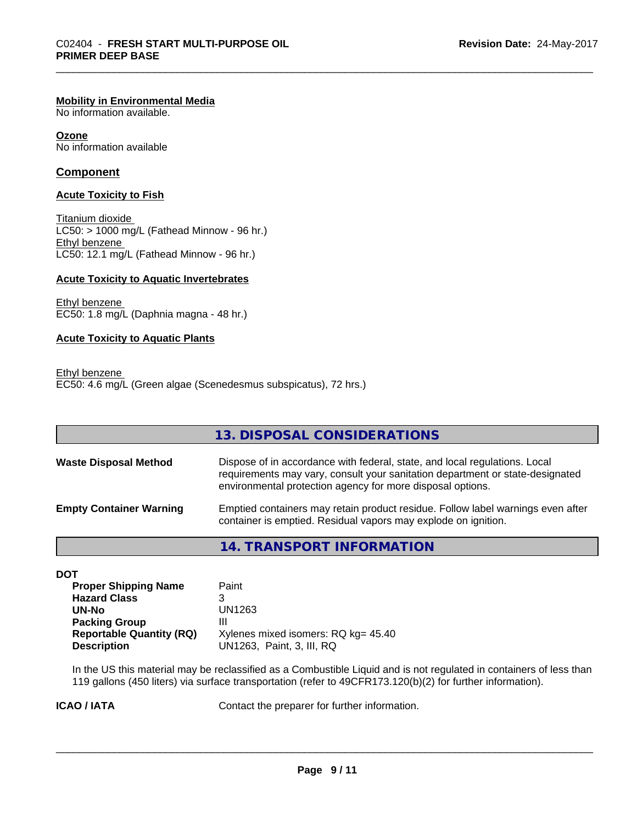### **Mobility in Environmental Media**

No information available.

**Ozone** No information available

### **Component**

### **Acute Toxicity to Fish**

Titanium dioxide  $LC50:$  > 1000 mg/L (Fathead Minnow - 96 hr.) Ethyl benzene LC50: 12.1 mg/L (Fathead Minnow - 96 hr.)

### **Acute Toxicity to Aquatic Invertebrates**

Ethyl benzene EC50: 1.8 mg/L (Daphnia magna - 48 hr.)

### **Acute Toxicity to Aquatic Plants**

Ethyl benzene EC50: 4.6 mg/L (Green algae (Scenedesmus subspicatus), 72 hrs.)

|                                | 13. DISPOSAL CONSIDERATIONS                                                                                                                                                                                               |
|--------------------------------|---------------------------------------------------------------------------------------------------------------------------------------------------------------------------------------------------------------------------|
| <b>Waste Disposal Method</b>   | Dispose of in accordance with federal, state, and local regulations. Local<br>requirements may vary, consult your sanitation department or state-designated<br>environmental protection agency for more disposal options. |
| <b>Empty Container Warning</b> | Emptied containers may retain product residue. Follow label warnings even after<br>container is emptied. Residual vapors may explode on ignition.                                                                         |

**14. TRANSPORT INFORMATION**

**DOT**

| <b>Proper Shipping Name</b>     | Paint                               |
|---------------------------------|-------------------------------------|
| <b>Hazard Class</b>             |                                     |
| UN-No                           | UN1263                              |
| <b>Packing Group</b>            | Ш                                   |
| <b>Reportable Quantity (RQ)</b> | Xylenes mixed isomers: RQ kg= 45.40 |
| <b>Description</b>              | UN1263, Paint, 3, III, RQ           |

In the US this material may be reclassified as a Combustible Liquid and is not regulated in containers of less than 119 gallons (450 liters) via surface transportation (refer to 49CFR173.120(b)(2) for further information).

**ICAO / IATA** Contact the preparer for further information.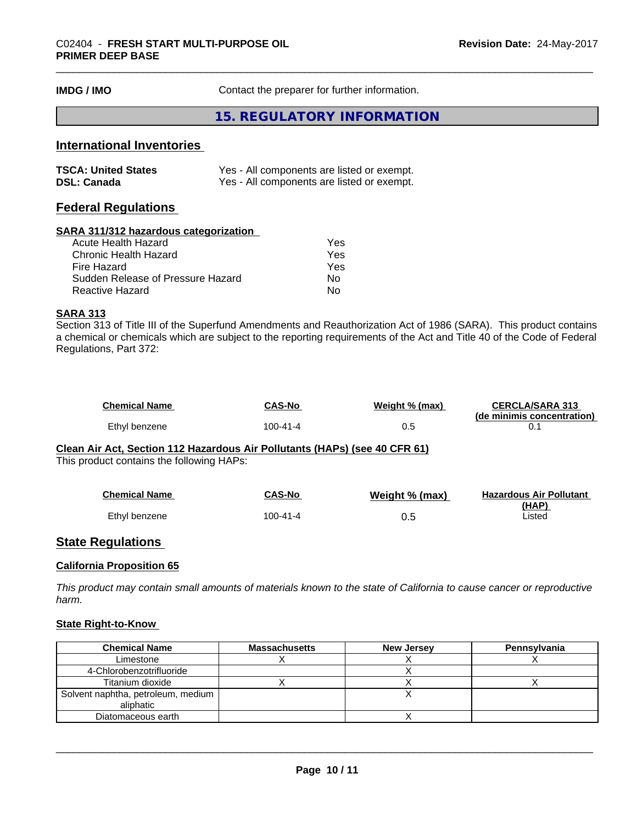**IMDG / IMO** Contact the preparer for further information.

### **15. REGULATORY INFORMATION**

### **International Inventories**

| <b>TSCA: United States</b> | Yes - All components are listed or exempt. |
|----------------------------|--------------------------------------------|
| <b>DSL: Canada</b>         | Yes - All components are listed or exempt. |

### **Federal Regulations**

#### **SARA 311/312 hazardous categorization**

| Acute Health Hazard               | Yes |
|-----------------------------------|-----|
| Chronic Health Hazard             | Yes |
| Fire Hazard                       | Yes |
| Sudden Release of Pressure Hazard | Nο  |
| Reactive Hazard                   | N٥  |

### **SARA 313**

Section 313 of Title III of the Superfund Amendments and Reauthorization Act of 1986 (SARA). This product contains a chemical or chemicals which are subject to the reporting requirements of the Act and Title 40 of the Code of Federal Regulations, Part 372:

| Chemical Name | <b>CAS-No</b> | Weight % (max) | <b>CERCLA/SARA 313</b>     |
|---------------|---------------|----------------|----------------------------|
| Ethyl benzene | 100-41-4      | 0.5            | (de minimis concentration) |

**Clean Air Act,Section 112 Hazardous Air Pollutants (HAPs) (see 40 CFR 61)**

This product contains the following HAPs:

| <b>Chemical Name</b> | CAS-No   | Weight % (max) | <b>Hazardous Air Pollutant</b> |
|----------------------|----------|----------------|--------------------------------|
| Ethyl benzene        | 100-41-4 | 0.5            | (HAP)<br>∟isted                |

### **State Regulations**

#### **California Proposition 65**

This product may contain small amounts of materials known to the state of California to cause cancer or reproductive *harm.*

### **State Right-to-Know**

| <b>Chemical Name</b>                              | <b>Massachusetts</b> | New Jersey | <b>Pennsylvania</b> |
|---------------------------------------------------|----------------------|------------|---------------------|
| Limestone                                         |                      |            |                     |
| 4-Chlorobenzotrifluoride                          |                      |            |                     |
| Titanium dioxide                                  |                      |            |                     |
| Solvent naphtha, petroleum, medium  <br>aliphatic |                      |            |                     |
| Diatomaceous earth                                |                      |            |                     |